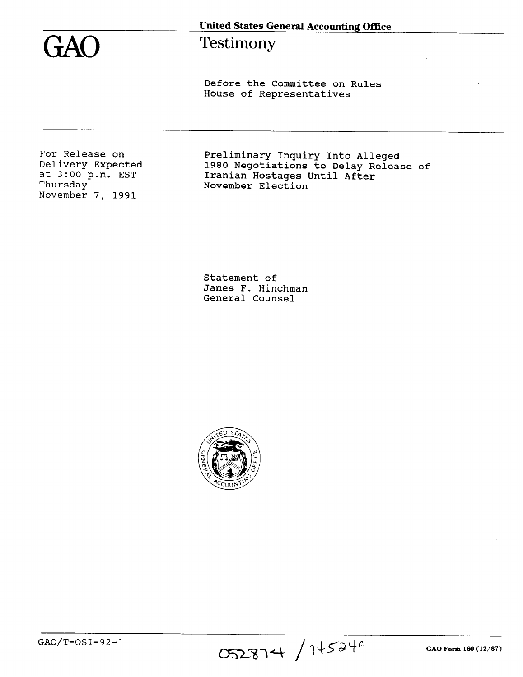$\mathbf{A}$ 

## Testimony

Before the Committee on Rules House of Representatives

For Release on Delivery Expected at 3:00 p.m. EST Thursday November 7, 1991

Preliminary Inquiry Into Alleged 1980 Negotiations to Delay Release of Iranian Hostages Until After November Election

Statement of James F. Hinchman General Counsel



GAO/T-OSI-92-1  $O5287$  +  $14524$  GAO Form 160 (12/87)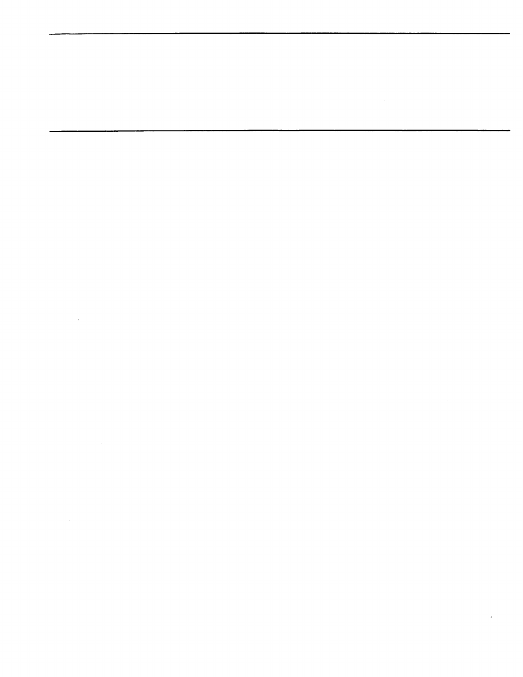$\label{eq:2.1} \frac{1}{\sqrt{2}}\int_{\mathbb{R}^3}\frac{1}{\sqrt{2}}\left(\frac{1}{\sqrt{2}}\right)^2\frac{1}{\sqrt{2}}\left(\frac{1}{\sqrt{2}}\right)^2\frac{1}{\sqrt{2}}\left(\frac{1}{\sqrt{2}}\right)^2.$ 

 $\label{eq:2.1} \frac{1}{\sqrt{2}}\int_{\mathbb{R}^3}\frac{1}{\sqrt{2}}\left(\frac{1}{\sqrt{2}}\right)^2\frac{1}{\sqrt{2}}\left(\frac{1}{\sqrt{2}}\right)^2\frac{1}{\sqrt{2}}\left(\frac{1}{\sqrt{2}}\right)^2\frac{1}{\sqrt{2}}\left(\frac{1}{\sqrt{2}}\right)^2.$ 

 $\hat{\mathbf{z}}$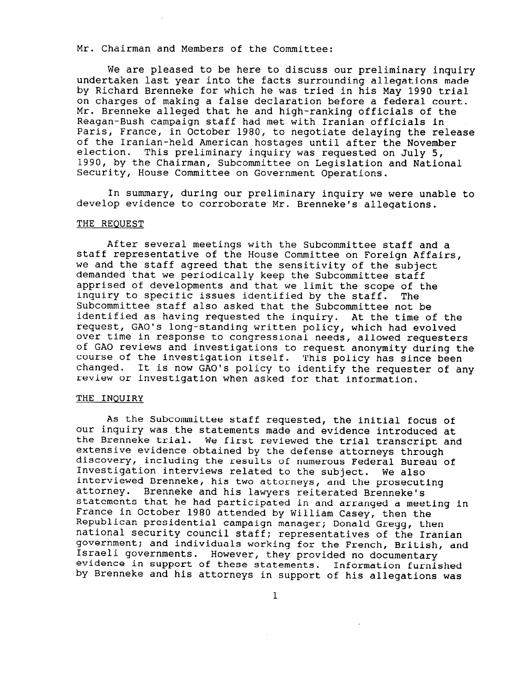Mr. Chairman and Members of the Committee:

We are pleased to be here to discuss our preliminary inquiry undertaken last year into the facts surrounding allegations made by Richard Brenneke for which he was tried in his May 1990 trial on charges of making a false declaration before a federal court. Mr. Brenneke alleged that he and high-ranking officials of the Reagan-Bush campaign staff had met with Iranian officials in Paris, France, in October 1980, to negotiate delaying the release of the Iranian-held American hostages until after the November election. This preliminary inquiry was requested on July 5, 1990, by the Chairman, Subcommittee on Legislation and National Security, House Committee on Government Operations.

In summary, during our preliminary inquiry we were unable to develop evidence to corroborate Mr. Brenneke's allegations.

## THE REQUEST

After several meetings with the Subcommittee staff and a staff representative of the House Committee on Foreign Affairs, we and the staff agreed that the sensitivity of the subject demanded that we periodically keep the Subcommittee staff apprised of developments and that we limit the scope of the inquiry to specific issues identified by the staff. The Subcommittee staff also asked that the Subcommittee not be identified as having requested the inquiry. At the time of the request, GAO's long-standing written policy, which had evolved over time in response to congressional needs, allowed requesters of GAO reviews and investigations to request anonymity during the course of the investigation itself. This policy has since been changed. It is now GAO's policy to identify the requester of any review or investigation when asked for that information.

## THE INQUIRY

As the Subcommittee staff requested, the initial focus of our inquiry was the statements made and evidence introduced at the Brenneke trial. We first reviewed the trial transcript and extensive evidence obtained by the defense attorneys through discovery, including the results of numerous Federal Bureau of Investigation interviews related to the subject. We also interviewed Brenneke, his two attorneys, and the prosecuting attorney. Brenneke and his lawyers reiterated Brenneke's statements that he had participated in and arranged a meeting in France in October 1980 attended by William Casey, then the Republican presidential campaign manager; Donald Gregg, then national security council staff; representatives of the Iranian government; and individuals working for the French, British, and Israeli governments. However, they provided no documentary evidence in support of these statements. Information furnished by Brenneke and his attorneys in support of his allegations was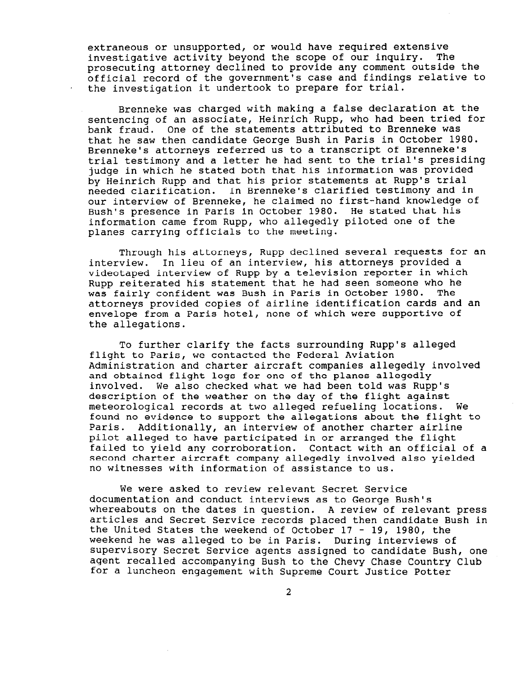extraneous or unsupported, or would have required extensive investigative activity beyond the scope of our inquiry. The prosecuting attorney declined to provide any comment outside the official record of the government's case and findings relative to the investigation it undertook to prepare for trial.

Brenneke was charged with making a false declaration at the sentencing of an associate, Heinrich Rupp, who had been tried for bank fraud. One of the statements attributed to Brenneke was that he saw then candidate George Bush in Paris in October 1980. Brenneke's attorneys referred us to a transcript of Brenneke's trial testimony and a letter he had sent to the trial's presiding judge in which he stated both that his information was provided by Heinrich Rupp and that his prior statements at Rupp's trial needed clarification. In Brenneke's clarified testimony and in our interview of Brenneke, he claimed no first-hand knowledge of Bush's presence in Paris in October 1980. He stated that his information came from Rupp, who allegedly piloted one of the planes carrying officials to the meeting.

Through his attorneys, Rupp declined several requests for an interview. In lieu of an interview, his attorneys provided a videotaped interview of Rupp by a television reporter in which Rupp reiterated his statement that he had seen someone who he was fairly confident was Bush in Paris in October 1980. The attorneys provided copies of airline identification cards and an envelope from a Paris hotel, none of which were supportive of the allegations.

To further clarify the facts surrounding Rupp's alleged flight to Paris, we contacted the Federal Aviation Administration and charter aircraft companies allegedly involved and obtained flight logs for one of the planes allegedly involved. We also checked what we had been told was Rupp's description of the weather on the day of the flight against meteorological records at two alleged refueling locations. We found no evidence to support the allegations about the flight to Paris. Additionally, an interview of another charter airline pilot alleged to have participated in or arranged the flight failed to yield any corroboration. Contact with an official of a second charter aircraft company allegedly involved also yielded no witnesses with information of assistance to us.

We were asked to review relevant Secret Service documentation and conduct interviews as to George Bush's whereabouts on the dates in question. A review of relevant press articles and Secret Service records placed then candidate Bush in the United States the weekend of October 17 - 19, 1980, the weekend he was alleged to be in Paris. During interviews of supervisory Secret Service agents assigned to candidate Bush, one agent recalled accompanying Bush to the Chevy Chase Country Club for a luncheon engagement with Supreme Court Justice Potter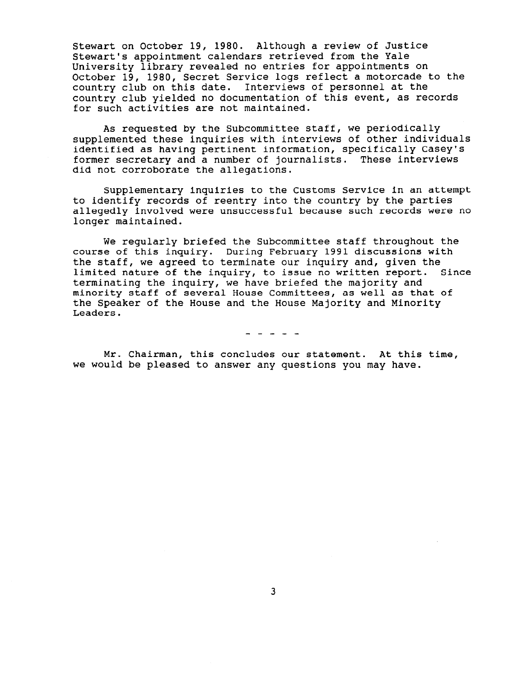Stewart on October 19, 1980. Although a review of Justice Stewart's appointment calendars retrieved from the Yale University library revealed no entries for appointments on October 19, 1980, Secret Service logs reflect a motorcade to the country club on this date. Interviews of personnel at the country club yielded no documentation of this event, as records for such activities are not maintained.

As requested by the Subcommittee staff, we periodically supplemented these inquiries with interviews of other individuals identified as having pertinent information, specifically Casey's former secretary and a number of journalists. These interviews did not corroborate the allegations.

Supplementary inquiries to the Customs Service in an attempt to identify records of reentry into the country by the parties allegedly involved were unsuccessful because such records were no longer maintained.

We regularly briefed the Subcommittee staff throughout the course of this inquiry. During February 1991 discussions with the staff, we agreed to terminate our inquiry and, given the limited nature of the inquiry, to issue no written report. Since terminating the inquiry, we have briefed the majority and minority staff of several House Committees, as well as that of the Speaker of the House and the House Majority and Minority Leaders.

- - - - -

Mr. Chairman, this concludes our statement. At this time, we would be pleased to answer any questions you may have.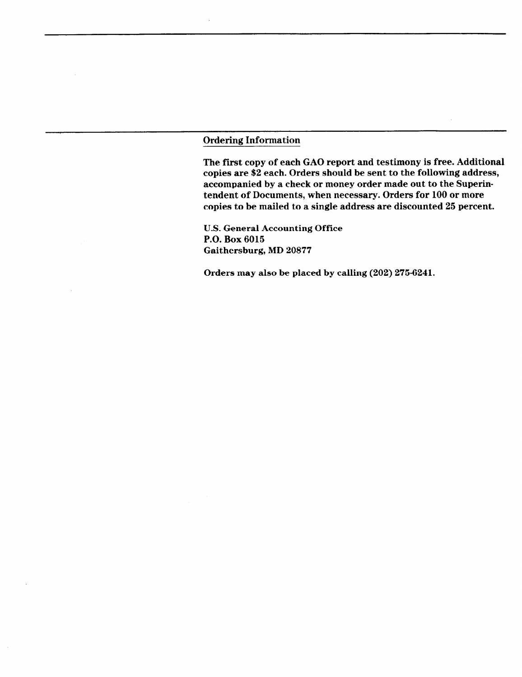## Ordering Information

The first copy of each GAO report and testimony is free. Additional copies are \$2 each. Orders should be sent to the following address, accompanied by a check or money order made out to the Superintendent of Documents, when necessary. Orders for 100 or more copies to be mailed to a single address are discounted 25 percent.

U.S. General Accounting Office P.O. Box 6015 Gaithersburg, MD 20877

Orders may also be placed by calling (202) 2756241.